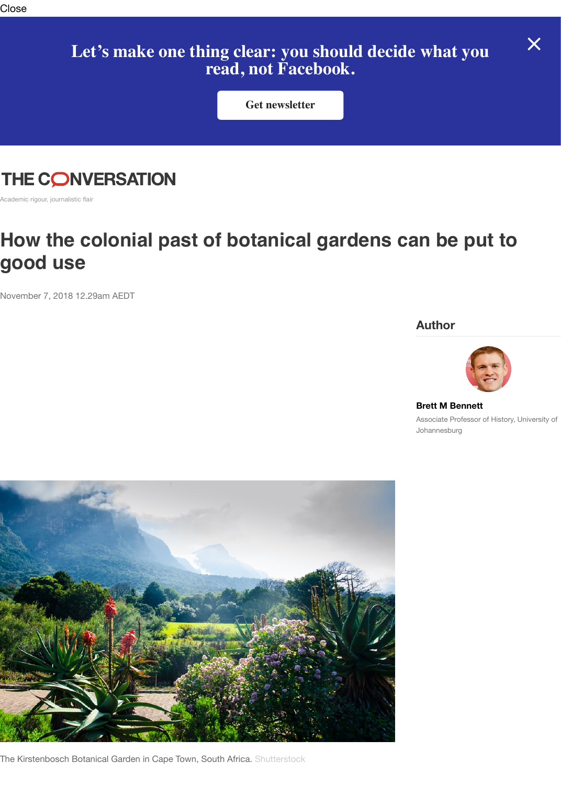

Academic rigour, journalistic flair

## How the colonial past of botanical gardens can be put **good use**

November 7, 2018 12.29am AEDT

**Author**



**Brett M Bennett** Associate Professor of Johannesburg



The Kirstenbosch Botanical Garden in Cape Town, South Africa. Shutterstock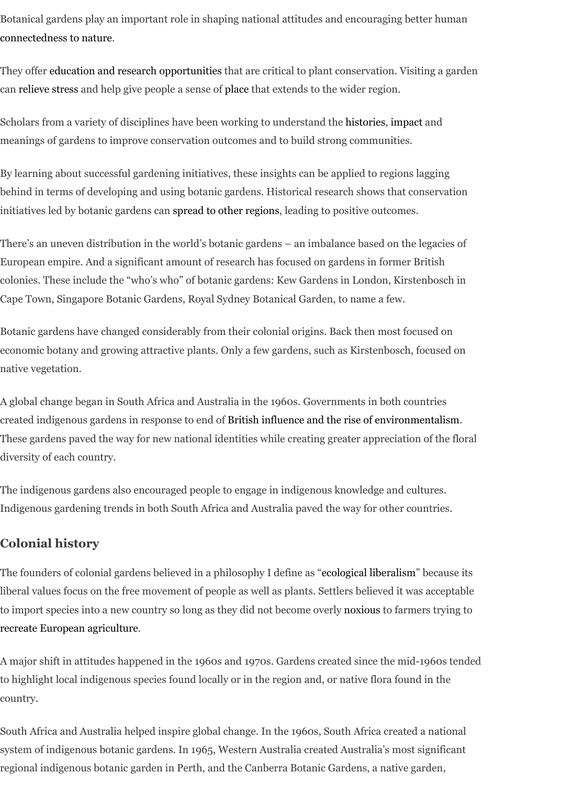By learning about successful gardening initiatives, these insights can be applied to regions lagging [behind in terms of develo](https://www2.le.ac.uk/departments/museumstudies/rcmg/projects/redefining-the-role-of-botanic-gardens/Redefining%20the%20Social%20Role%20of%20Botanic%20Gardens.pdf)ping and using botanic gardens. Historical research shows that conservation initiatives [led by botanic gardens can spread to o](https://academic.oup.com/bioscience/article/61/10/743/258036/The-Evolving-Role-of-Botanical-GardensHedges)ther regions, leading to positive outcomes.

The[re's an uneven](http://horttech.ashspublications.org/content/12/3/489.full.pdf) distribution in the world's bot[anic g](https://www.westernsydney.edu.au/__data/assets/pdf_file/0012/884559/LOVE_YOUR_LAGOONS-Place-based_learning_and_environmental_action_in_south_western_Sydney_FINAL_REPORT.pdf)ardens – an imbalance based on the legacies of European empire. And a significant amount of research has focused on gar[dens in fo](https://www.bgci.org/resources/history/)[rmer Br](http://soac.fbe.unsw.edu.au/2011/papers/SOAC2011_0027_final(1).pdf)itish colonies. These include the "who's who" of botanic gardens: Kew Gardens in London, Kirstenbosch in Cape Town, Singapore Botanic Gardens, Royal Sydney Botanical Garden, to name a few.

Botanic gardens have changed considerably from their colonial origins. Back then most focused on economic botany and growing attract[ive plants. Only a few ga](http://link.springer.com/article/10.1007/s10530-013-0601-1)rdens, such as Kirstenbosch, focused on native vegetation.

A global change began in South Africa and Australia in the 1960s. Governments in both countries created indigenous gardens in response to end of British influence and the rise of environmentalism. These gardens paved the way for new national identities while creating greater appreciation of the floral diversity of each country.

The indigenous gardens also encouraged people to engage in indigenous knowledge and cultures. Indigenous gardening trends in both South Africa and Australia paved the way for other countries.

## **Colonial history**

The founders of colonial gardens believed in a ph[ilosophy I define as "ecological liberalism" because](https://www.cambridge.org/core/journals/itinerario/article/decolonization-environmentalism-and-nationalism-in-australia-and-south-africa/F70CF21D129C6AFF91800EF9E37FA5CA) its liberal values focus on the free movement of people as well as plants. Settlers believed it was acceptable to import species into a new country so long as they did not become overly noxious to farmers trying to recreate European agriculture.

A major shift in attitudes happened in the 1960s and 1970s. Gardens created since the mid-1960s tended to highlight local indigenous species found locally or in the region and, or native flora found in the country.

South Africa and Australia helped inspire global change. In the 1960s, [South Africa created](http://www.tandfonline.com/doi/abs/10.1080/02582473.2015.1019358?journalCode=rshj20) a national system of indigenous botanic gardens. In 1965, Western Australia created [Australia](http://www.tandfonline.com/doi/abs/10.1080/713683604?journalCode=cjss20)'s most significant [regional indigenous botanic ga](http://www.brokenpromisebook.com/)rden in Perth, and the Canberra Botanic Gardens, a native garden,